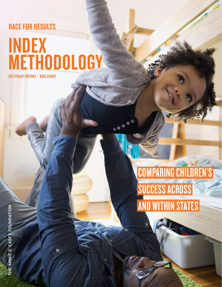## RACE FOR RESULTS

# INDEX **METHODOLOGY**

SECTION 2017 RACE FOR RESULTS INDEX METHODOLOGY

**00000** 

2017 POLICY REPORT | KIDS COUNT

COMPARING CHILDREN'S SUCCESS ACROSS **AND WITHIN STATES** 

THE ANNIE E. CASEY FOUNDATION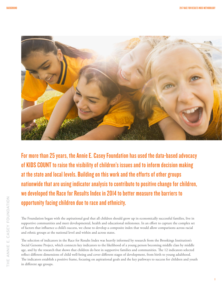

For more than 25 years, the Annie E. Casey Foundation has used the data-based advocacy of KIDS COUNT to raise the visibility of children's issues and to inform decision making at the state and local levels. Building on this work and the efforts of other groups nationwide that are using indicator analysis to contribute to positive change for children, we developed the Race for Results Index in 2014 to better measure the barriers to opportunity facing children due to race and ethnicity.

The Foundation began with the aspirational goal that all children should grow up in economically successful families, live in supportive communities and meet developmental, health and educational milestones. In an effort to capture the complex set of factors that influence a child's success, we chose to develop a composite index that would allow comparisons across racial and ethnic groups at the national level and within and across states.

The selection of indicators in the Race for Results Index was heavily informed by research from the Brookings Institution's Social Genome Project, which connects key indicators to the likelihood of a young person becoming middle class by middle age, and by the research that shows that children do best in supportive families and communities. The 12 indicators selected reflect different dimensions of child well-being and cover different stages of development, from birth to young adulthood. The indicators establish a positive frame, focusing on aspirational goals and the key pathways to success for children and youth in different age groups.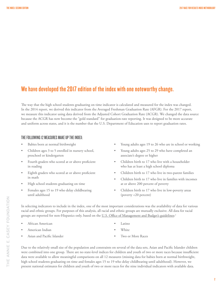## We have developed the 2017 edition of the index with one noteworthy change.

The way that the high school students graduating on time indicator is calculated and measured for the index was changed. In the 2014 report, we derived this indicator from the Averaged Freshman Graduation Rate (AFGR). For the 2017 report, we measure this indicator using data derived from the Adjusted Cohort Graduation Rate (ACGR). We changed the data source because the ACGR has now become the "gold standard" for graduation-rate reporting. It was designed to be more accurate and uniform across states, and it is the number that the U.S. Department of Education uses to report graduation rates.

#### THE FOLLOWING 12 MEASURES MAKE UP THE INDEX:

- Babies born at normal birthweight
- Children ages 3 to 5 enrolled in nursery school, preschool or kindergarten
- Fourth graders who scored at or above proficient in reading
- Eighth graders who scored at or above proficient in math
- High school students graduating on time
- Females ages 15 to 19 who delay childbearing until adulthood
- Young adults ages 19 to 26 who are in school or working
- Young adults ages 25 to 29 who have completed an associate's degree or higher
- Children birth to 17 who live with a householder who has at least a high school diploma
- Children birth to 17 who live in two-parent families
- Children birth to 17 who live in families with incomes at or above 200 percent of poverty
- Children birth to 17 who live in low-poverty areas (poverty <20 percent)

In selecting indicators to include in the index, one of the most important considerations was the availability of data for various racial and ethnic groups. For purposes of this analysis, all racial and ethnic groups are mutually exclusive. All data for racial groups are reported for non-Hispanics only, based on the <u>U.S. Office of Management and Budget's guidelines</u>:<sup>[1](#page-6-0)</sup>

- African American
- American Indian
- Asian and Pacific Islander
- Latino
- **White**
- 
- Two or More Races

Due to the relatively small size of the population and constraints on several of the data sets, Asian and Pacific Islander children were combined into one group. There are no state-level indices for children and youth of two or more races because insufficient data were available to allow meaningful comparisons on all 12 measures (missing data for babies born at normal birthweight, high school students graduating on time and females ages 15 to 19 who delay childbearing until adulthood). However, we present national estimates for children and youth of two or more races for the nine individual indicators with available data.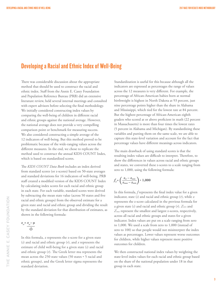## Developing a Racial and Ethnic Index of Well-Being

There was considerable discussion about the appropriate method that should be used to construct the racial and ethnic index. Staff from the Annie E. Casey Foundation and Population Reference Bureau (PRB) did an extensive literature review, held several internal meetings and consulted with expert advisors before selecting the final methodology. We initially considered constructing index values by comparing the well-being of children in different racial and ethnic groups against the national average. However, the national average does not provide a very compelling comparison point or benchmark for measuring success. We also considered constructing a simple average of the 12 indicators of well-being. But this method proved to be problematic because of the wide-ranging values across the different measures. In the end, we chose to replicate the method used to construct the annual KIDS COUNT Index, which is based on standardized scores.

The *KIDS COUNT Data Book* includes an index derived from standard scores (or z-scores) based on 50-state averages and standard deviations for 16 indicators of well-being. PRB staff created a modified version of the KIDS COUNT Index by calculating index scores for each racial and ethnic group in each state. For each variable, standard scores were derived by subtracting the mean state value (across 50 states and five racial and ethnic groups) from the observed estimate for a given state and racial and ethnic group and dividing the result by the standard deviation for that distribution of estimates, as shown in the following formula:

 $z_{sr} = x_{sr} - \mu$  **Ó**

In this formula, *z* represents the z-score for a given state (*s*) and racial and ethnic group (*r*), and *x* represents the estimate of child well-being for a given state (*s*) and racial and ethnic group (*r*). The Greek letter mu represents the mean across the 250 state values (50 states \* 5 racial and ethnic groups), and the Greek letter sigma represents the standard deviation.

Standardization is useful for this because although all the indicators are expressed as percentages the range of values across the 12 measures is very different. For example, the percentage of African-American babies born at normal birthweight is highest in North Dakota at 93 percent, just nine percentage points higher than the share in Alabama and Mississippi, which tied for the lowest rate at 84 percent. But the highest percentage of African-American eighth graders who scored at or above proficient in math (22 percent in Massachusetts) is more than four times the lowest rates (5 percent in Alabama and Michigan). By standardizing these variables and putting them on the same scale, we are able to capture this state-level variation and account for the fact that percentage values have different meanings across indicators.

The main drawback of using standard scores is that the resulting index values are difficult to interpret. Therefore, to show the differences in values across racial and ethnic groups and states, we converted these z-scores to a scale ranging from zero to 1,000, using the following formula:

$$
f_{sr} = \left(\frac{z_{sr} - z_{min}}{z_{max} - z_{min}}\right) * 1,000
$$

In this formula, *f* represents the final index value for a given indicator, state  $(s)$  and racial and ethnic group  $(r)$ , while  $z$ represents the z-score calculated in the previous formula for a given state (*s*) and racial and ethnic group (*r*). *Zmin* and *Zmax* represent the smallest and largest z-scores, respectively, across all racial and ethnic groups and states for a given indicator. Index values are put on a scale ranging from zero to 1,000. We used a scale from zero to 1,000 (instead of zero to 100) so that people would not misinterpret the index values as percentages. Lower values represent worse outcomes for children, while higher values represent more positive outcomes for children.

We then constructed national index values by weighting the state-level index values for each racial and ethnic group based on the share of the national population under 18 in that group in each state.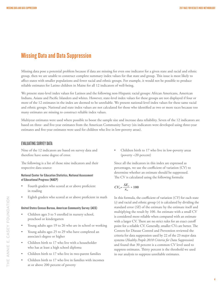## Missing Data and Data Suppression

Missing data pose a potential problem because if data are missing for even one indicator for a given state and racial and ethnic group, then we are unable to construct complete summary index values for that state and group. This issue is most likely to affect states with smaller populations and fewer racial and ethnic groups. For example, it would not be possible to produce reliable estimates for Latino children in Maine for all 12 indicators of well-being.

We present state-level index values for Latinos and the following non-Hispanic racial groups: African Americans, American Indians, Asians and Pacific Islanders and whites. However, state-level index values for these groups are not displayed if four or more of the 12 estimates in the index are deemed to be unreliable. We present national-level index values for these same racial and ethnic groups. National and state index values are not calculated for those who identified as two or more races because too many estimates are missing to construct reliable index values.

Multiyear estimates were used where possible to boost the sample size and increase data reliability. Seven of the 12 indicators are based on three- and five-year estimates from the American Community Survey (six indicators were developed using three-year estimates and five-year estimates were used for children who live in low-poverty areas).

#### EVALUATING SURVEY DATA

Nine of the 12 indicators are based on survey data and therefore have some degree of error.

The following is a list of those nine indicators and their respective data source:

#### National Center for Education Statistics, National Assessment of Educational Progress (NAEP)

- Fourth graders who scored at or above proficient in reading
- Eighth graders who scored at or above proficient in math

#### United States Census Bureau, American Community Survey (ACS)

- Children ages 3 to 5 enrolled in nursery school, preschool or kindergarten
- Young adults ages 19 to 26 who are in school or working
- Young adults ages 25 to 29 who have completed an associate's degree or higher
- Children birth to 17 who live with a householder who has at least a high school diploma
- Children birth to 17 who live in two-parent families
- Children birth to 17 who live in families with incomes at or above 200 percent of poverty

• Children birth to 17 who live in low-poverty areas (poverty <20 percent)

Since all the indicators in this index are expressed as percentages, we use the coefficient of variation (CV) to determine whether an estimate should be suppressed. The CV is calculated using the following formula:

$$
CV_{sr} = \frac{SE_{sr}}{x_{sr}} \times 100
$$

In this formula, the coefficient of variation (*CV*) for each state (*s*) and racial and ethnic group (*r*) is calculated by dividing the standard error (*SE*) of the estimate by the estimate itself and multiplying the result by 100. An estimate with a small CV is considered more reliable when compared with an estimate with a larger CV. There are no strict rules for an exact cutoff point for a reliable CV. Generally, smaller CVs are better. The Centers for Disease Control and Prevention reviewed the criteria for data suppression used by 22 of the 23 major data systems (*Healthy People 2010 Criteria for Data Suppression*) and found that 30 percent is a common CV level used to suppress estimates. Thirty percent is the threshold we used in our analysis to suppress unreliable estimates.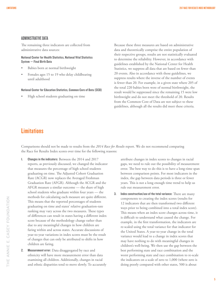#### ADMINISTRATIVE DATA

The remaining three indicators are collected from administrative data sources:

#### National Center for Health Statistics, National Vital Statistics System — Final Birth Data

- Babies born at normal birthweight
- Females ages 15 to 19 who delay childbearing until adulthood

#### National Center for Education Statistics, Common Core of Data (CCD)

• High school students graduating on time

Because these three measures are based on administrative data and theoretically comprise the entire population of their respective groups, results are not statistically evaluated to determine the reliability. However, in accordance with guidelines established by the National Center for Health Statistics, we suppress all data that are based on fewer than 20 events. Also in accordance with those guidelines, we suppress results where the inverse of the number of events is fewer than 20. For example, in a given state where 205 of the total 220 babies born were of normal birthweight, the result would be suppressed since the remaining 15 were low birthweight and do not meet the threshold of 20. Results from the Common Core of Data are not subject to these guidelines, although all the results did meet these criteria.

### **Limitations**

Comparisons should not be made to results from the *2014 Race for Results* report. We do not recommend comparing the Race for Results Index scores over time for the following reasons:

- 1. Changes in the indicators: Between the 2014 and 2017 reports, as previously discussed, we changed the indicator that measures the percentage of high school students graduating on time. The Adjusted Cohort Graduation Rate (ACGR) now replaces the Averaged Freshman Graduation Rate (AFGR). Although the ACGR and the AFGR measure a similar outcome — the share of high school students who graduate within four years — the methods for calculating each measure are quite different. This means that the reported percentages of students graduating on time and states' relative graduation-rate ranking may vary across the two measures. These types of differences can result in states having a different index score because of the methodology change rather than due to any meaningful changes in how children are faring within and across states. Accurate discussions of year-to-year variations in index scores must be the result of changes that can only be attributed to shifts in how children are faring.
- 2. Measurement error: Data disaggregated by race and ethnicity will have more measurement error than data examining all children. Additionally, changes in racial and ethnic disparities tend to move slowly. To accurately

attribute changes in index scores to changes in racial gaps, we need to rule out the possibility of measurement error. The best way to do this is to have a long-time span between comparison points. For most indicators in the index, the gap between data periods is three or fewer years. This is not a long enough time trend to help us rule out measurement error.

3. Index construction/use of the total variance: There are many components to creating the index scores (results for 12 indicators that are then transformed two different ways prior to being combined into a total index score). This means when an index score changes across time, it is difficult to understand what caused the change. For example, in the first transformation, the indicators are re-scaled using the total variance for that indicator for the United States. A year-to-year change in the total variance would lead to a change in index scores that may have nothing to do with meaningful changes in children's well-being. We then use the gap between the best performing state and race combination and the worst performing state and race combination to re-scale the indicators on a scale of zero to 1,000 (where zero is doing poorly compared with other states, 500 is about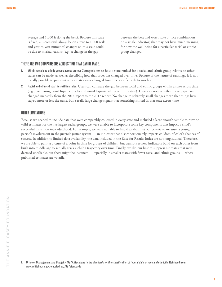average and 1,000 is doing the best). Because this scale is fixed, all scores will always be on a zero to 1,000 scale and year-to-year numerical changes on this scale could be due to myriad reasons (e.g., a change in the gap

between the best and worst state or race combination on a single indicator) that may not have much meaning for how the well-being for a particular racial or ethnic group changed.

#### THERE ARE TWO COMPARISONS ACROSS TIME THAT CAN BE MADE.

- 1. Within racial and ethnic groups across states: Comparisons to how a state ranked for a racial and ethnic group relative to other states can be made, as well as describing how that order has changed over time. Because of the nature of rankings, it is not usually possible to pinpoint why a state's rank changed from one specific rank to another.
- 2. Racial and ethnic disparities within states: Users can compare the gap between racial and ethnic groups within a state across time (e.g., comparing non-Hispanic blacks and non-Hispanic whites within a state). Users can note whether those gaps have changed markedly from the 2014 report to the 2017 report. No change to relatively small changes mean that things have stayed more or less the same, but a really large change signals that something shifted in that state across time.

#### OTHER LIMITATIONS

Because we needed to include data that were comparably collected in every state and included a large enough sample to provide valid estimates for the five largest racial groups, we were unable to incorporate some key components that impact a child's successful transition into adulthood. For example, we were not able to find data that met our criteria to measure a young person's involvement in the juvenile justice system — an indicator that disproportionately impacts children of color's chances of success. In addition to limited data availability, the data included in the Race for Results Index are not longitudinal. Therefore, we are able to paint a picture of a point in time for groups of children, but cannot see how indicators build on each other from birth into middle age to actually track a child's trajectory over time. Finally, we did our best to suppress estimates that were deemed unreliable, but there might be instances — especially in smaller states with fewer racial and ethnic groups — where published estimates are volatile.

<span id="page-6-0"></span><sup>1.</sup> Office of Management and Budget. (1997). Revisions to the standards for the classification of federal data on race and ethnicity. Retrieved from [www.whitehouse.gov/omb/fedreg\\_1997standards](http://www.whitehouse.gov/omb/fedreg_1997standards)